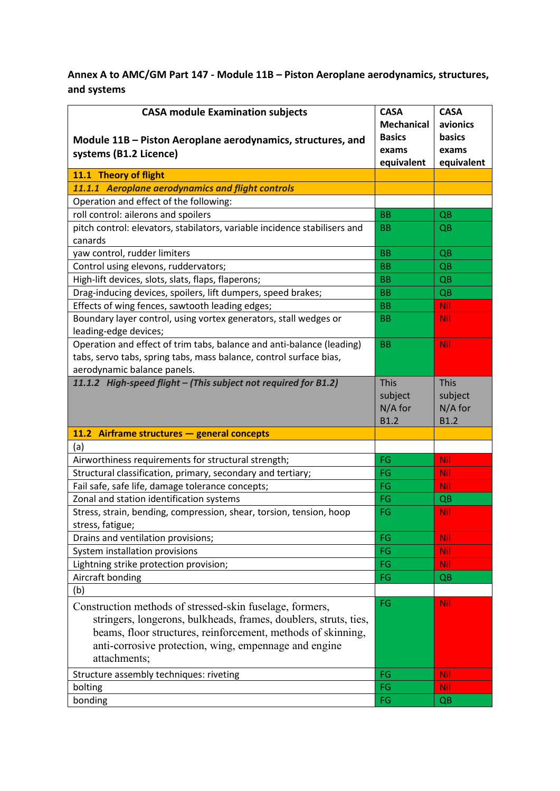## **Annex A to AMC/GM Part 147 - Module 11B – Piston Aeroplane aerodynamics, structures, and systems**

| <b>CASA module Examination subjects</b><br>Module 11B - Piston Aeroplane aerodynamics, structures, and<br>systems (B1.2 Licence)                                                                                                                                      | <b>CASA</b><br><b>Mechanical</b><br><b>Basics</b><br>exams<br>equivalent | <b>CASA</b><br>avionics<br>basics<br>exams<br>equivalent |
|-----------------------------------------------------------------------------------------------------------------------------------------------------------------------------------------------------------------------------------------------------------------------|--------------------------------------------------------------------------|----------------------------------------------------------|
| 11.1 Theory of flight                                                                                                                                                                                                                                                 |                                                                          |                                                          |
| 11.1.1 Aeroplane aerodynamics and flight controls                                                                                                                                                                                                                     |                                                                          |                                                          |
| Operation and effect of the following:                                                                                                                                                                                                                                |                                                                          |                                                          |
| roll control: ailerons and spoilers                                                                                                                                                                                                                                   | <b>BB</b>                                                                | QB                                                       |
| pitch control: elevators, stabilators, variable incidence stabilisers and<br>canards                                                                                                                                                                                  | BB                                                                       | QB                                                       |
| yaw control, rudder limiters                                                                                                                                                                                                                                          | <b>BB</b>                                                                | QB                                                       |
| Control using elevons, ruddervators;                                                                                                                                                                                                                                  | <b>BB</b>                                                                | QB                                                       |
| High-lift devices, slots, slats, flaps, flaperons;                                                                                                                                                                                                                    | <b>BB</b>                                                                | QB                                                       |
| Drag-inducing devices, spoilers, lift dumpers, speed brakes;                                                                                                                                                                                                          | <b>BB</b>                                                                | QB                                                       |
| Effects of wing fences, sawtooth leading edges;                                                                                                                                                                                                                       | BB                                                                       | <b>Nil</b>                                               |
| Boundary layer control, using vortex generators, stall wedges or<br>leading-edge devices;                                                                                                                                                                             | <b>BB</b>                                                                | Nil                                                      |
| Operation and effect of trim tabs, balance and anti-balance (leading)<br>tabs, servo tabs, spring tabs, mass balance, control surface bias,<br>aerodynamic balance panels.                                                                                            | <b>BB</b>                                                                | Nil                                                      |
| 11.1.2 High-speed flight - (This subject not required for B1.2)                                                                                                                                                                                                       | <b>This</b><br>subject<br>N/A for<br><b>B1.2</b>                         | <b>This</b><br>subject<br>N/A for<br><b>B1.2</b>         |
| 11.2 Airframe structures - general concepts                                                                                                                                                                                                                           |                                                                          |                                                          |
| (a)                                                                                                                                                                                                                                                                   |                                                                          |                                                          |
| Airworthiness requirements for structural strength;                                                                                                                                                                                                                   | FG                                                                       | <b>Nil</b>                                               |
| Structural classification, primary, secondary and tertiary;                                                                                                                                                                                                           | FG                                                                       | <b>Nil</b>                                               |
| Fail safe, safe life, damage tolerance concepts;                                                                                                                                                                                                                      | FG                                                                       | Nil                                                      |
| Zonal and station identification systems                                                                                                                                                                                                                              | FG                                                                       | QB                                                       |
| Stress, strain, bending, compression, shear, torsion, tension, hoop<br>stress, fatigue;                                                                                                                                                                               | FG                                                                       | <b>Nil</b>                                               |
| Drains and ventilation provisions;                                                                                                                                                                                                                                    | FG                                                                       | <b>Nil</b>                                               |
| System installation provisions                                                                                                                                                                                                                                        | FG                                                                       | <b>Nil</b>                                               |
| Lightning strike protection provision;                                                                                                                                                                                                                                | FG                                                                       | <b>Nil</b>                                               |
| Aircraft bonding                                                                                                                                                                                                                                                      | FG                                                                       | QB                                                       |
| (b)                                                                                                                                                                                                                                                                   |                                                                          |                                                          |
| Construction methods of stressed-skin fuselage, formers,<br>stringers, longerons, bulkheads, frames, doublers, struts, ties,<br>beams, floor structures, reinforcement, methods of skinning,<br>anti-corrosive protection, wing, empennage and engine<br>attachments; | FG                                                                       | Nil                                                      |
| Structure assembly techniques: riveting                                                                                                                                                                                                                               | FG                                                                       | <b>Nil</b>                                               |
| bolting                                                                                                                                                                                                                                                               | FG                                                                       | <b>Nil</b>                                               |
| bonding                                                                                                                                                                                                                                                               | FG                                                                       | QB                                                       |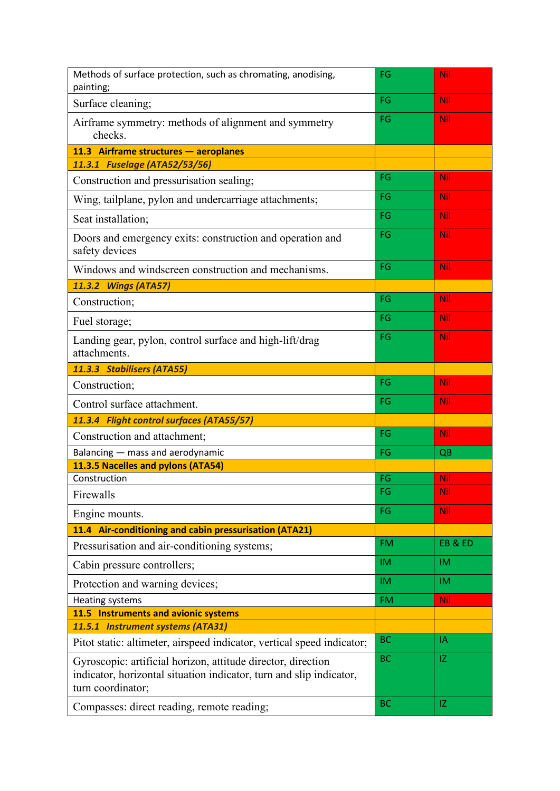| Methods of surface protection, such as chromating, anodising,<br>painting;                                                                               | FG        | Nil        |
|----------------------------------------------------------------------------------------------------------------------------------------------------------|-----------|------------|
| Surface cleaning;                                                                                                                                        | FG        | <b>Nil</b> |
| Airframe symmetry: methods of alignment and symmetry<br>checks.                                                                                          | FG        | <b>Nil</b> |
| 11.3 Airframe structures - aeroplanes                                                                                                                    |           |            |
| 11.3.1 Fuselage (ATA52/53/56)                                                                                                                            |           |            |
| Construction and pressurisation sealing;                                                                                                                 | FG        | <b>Nil</b> |
| Wing, tailplane, pylon and undercarriage attachments;                                                                                                    | FG        | <b>Nil</b> |
| Seat installation;                                                                                                                                       | FG        | <b>Nil</b> |
| Doors and emergency exits: construction and operation and<br>safety devices                                                                              | FG        | Nil        |
| Windows and windscreen construction and mechanisms.                                                                                                      | FG        | Nil        |
| 11.3.2 Wings (ATA57)                                                                                                                                     |           |            |
| Construction;                                                                                                                                            | FG        | <b>Nil</b> |
| Fuel storage;                                                                                                                                            | FG        | <b>Nil</b> |
| Landing gear, pylon, control surface and high-lift/drag<br>attachments.                                                                                  | FG        | Nil        |
| 11.3.3 Stabilisers (ATA55)                                                                                                                               |           |            |
| Construction;                                                                                                                                            | FG        | <b>Nil</b> |
| Control surface attachment.                                                                                                                              | FG        | <b>Nil</b> |
| 11.3.4 Flight control surfaces (ATA55/57)                                                                                                                |           |            |
| Construction and attachment;                                                                                                                             | FG        | <b>Nil</b> |
| Balancing - mass and aerodynamic                                                                                                                         | FG        | QB         |
| 11.3.5 Nacelles and pylons (ATA54)                                                                                                                       |           |            |
| Construction                                                                                                                                             | FG        | Nil        |
| Firewalls                                                                                                                                                | FG        | Nil        |
| Engine mounts.                                                                                                                                           | FG        | <b>Nil</b> |
| 11.4 Air-conditioning and cabin pressurisation (ATA21)                                                                                                   |           |            |
| Pressurisation and air-conditioning systems;                                                                                                             | <b>FM</b> | EB&ED      |
| Cabin pressure controllers;                                                                                                                              | IM.       | <b>IM</b>  |
| Protection and warning devices;                                                                                                                          | <b>IM</b> | IM.        |
| Heating systems                                                                                                                                          | <b>FM</b> | <b>Nil</b> |
| 11.5 Instruments and avionic systems                                                                                                                     |           |            |
| 11.5.1 Instrument systems (ATA31)                                                                                                                        |           |            |
| Pitot static: altimeter, airspeed indicator, vertical speed indicator;                                                                                   | <b>BC</b> | IA         |
| Gyroscopic: artificial horizon, attitude director, direction<br>indicator, horizontal situation indicator, turn and slip indicator,<br>turn coordinator; | <b>BC</b> | IZ         |
| Compasses: direct reading, remote reading;                                                                                                               | <b>BC</b> | IZ         |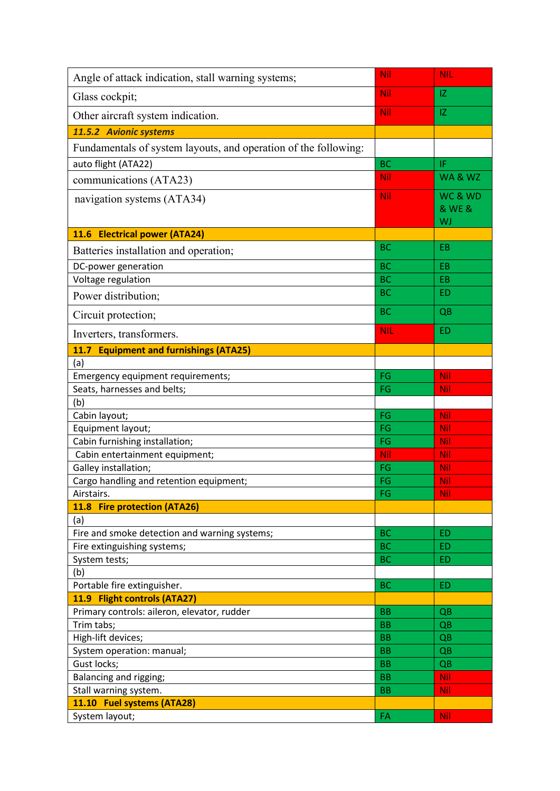| Nil<br>IZ<br>Glass cockpit;<br>Nil<br>IZ<br>Other aircraft system indication.         |                   |
|---------------------------------------------------------------------------------------|-------------------|
|                                                                                       |                   |
|                                                                                       |                   |
| 11.5.2 Avionic systems                                                                |                   |
| Fundamentals of system layouts, and operation of the following:                       |                   |
| auto flight (ATA22)<br><b>BC</b><br>IF                                                |                   |
| Nil<br>communications (ATA23)                                                         | WA&WZ             |
| Nil<br>navigation systems (ATA34)<br>WJ                                               | WC & WD<br>& WE & |
| 11.6 Electrical power (ATA24)                                                         |                   |
| <b>BC</b><br>EB<br>Batteries installation and operation;                              |                   |
| DC-power generation<br><b>BC</b><br>EB                                                |                   |
| Voltage regulation<br><b>BC</b><br>EB                                                 |                   |
| <b>BC</b><br><b>ED</b><br>Power distribution;                                         |                   |
| <b>BC</b><br>QB<br>Circuit protection;                                                |                   |
| <b>ED</b><br><b>NIL</b><br>Inverters, transformers.                                   |                   |
| 11.7 Equipment and furnishings (ATA25)                                                |                   |
| (a)                                                                                   |                   |
| FG<br>Nil<br>Emergency equipment requirements;                                        |                   |
| Seats, harnesses and belts;<br>FG<br>Nil                                              |                   |
| (b)                                                                                   |                   |
| Cabin layout;<br>FG<br><b>Nil</b>                                                     |                   |
| Equipment layout;<br>FG<br>Nil                                                        |                   |
| Cabin furnishing installation;<br>FG<br><b>Nil</b>                                    |                   |
| Cabin entertainment equipment;<br>Nil<br><b>Nil</b>                                   |                   |
| Galley installation;<br>FG<br>Nil                                                     |                   |
| Cargo handling and retention equipment;<br>FG<br>Nil                                  |                   |
| <b>Nil</b><br>Airstairs.<br>FG                                                        |                   |
| 11.8 Fire protection (ATA26)                                                          |                   |
| (a)                                                                                   |                   |
| Fire and smoke detection and warning systems;<br><b>BC</b><br><b>ED</b>               |                   |
| <b>BC</b><br>Fire extinguishing systems;<br><b>ED</b>                                 |                   |
| System tests;<br><b>BC</b><br>ED                                                      |                   |
| (b)                                                                                   |                   |
| Portable fire extinguisher.<br><b>BC</b><br><b>ED</b><br>11.9 Flight controls (ATA27) |                   |
| Primary controls: aileron, elevator, rudder<br><b>BB</b>                              |                   |
| QB<br><b>BB</b>                                                                       |                   |
| Trim tabs;<br>QB<br>High-lift devices;<br>BB<br>QB                                    |                   |
| System operation: manual;<br><b>BB</b><br>QB                                          |                   |
| Gust locks;<br><b>BB</b><br>QB                                                        |                   |
| Balancing and rigging;<br><b>BB</b><br><b>Nil</b>                                     |                   |
| Stall warning system.<br><b>BB</b><br><b>Nil</b>                                      |                   |
| 11.10 Fuel systems (ATA28)                                                            |                   |
| FA<br><b>Nil</b><br>System layout;                                                    |                   |